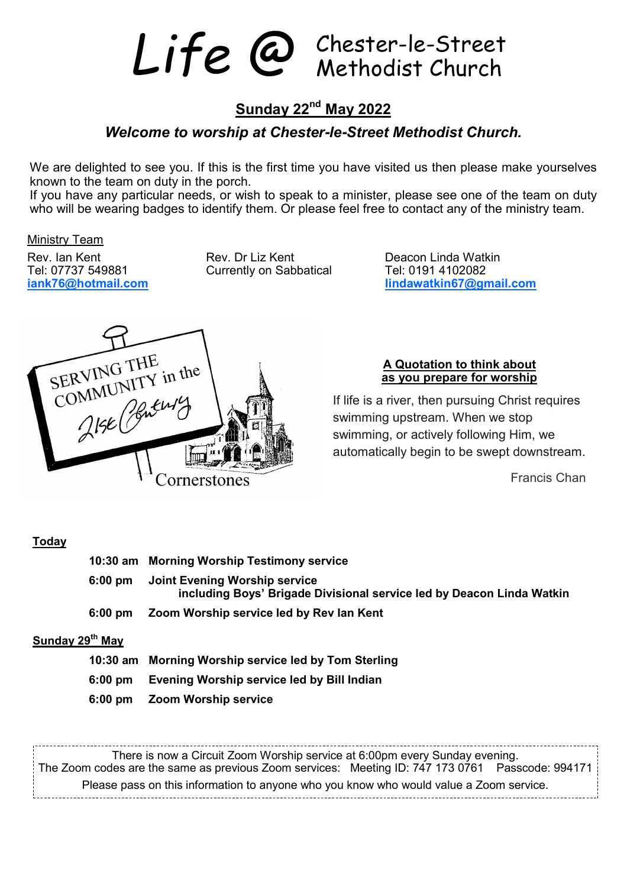Life @ Chester-le-Street

# **Sunday 22nd May 2022**

## *Welcome to worship at Chester***-***le***-***Street Methodist Church.*

We are delighted to see you. If this is the first time you have visited us then please make yourselves known to the team on duty in the porch.

If you have any particular needs, or wish to speak to a minister, please see one of the team on duty who will be wearing badges to identify them. Or please feel free to contact any of the ministry team.

Ministry Team

Tel: 07737 549881 Currently on Sabbatical iank76@hotmail.com

Rev. Ian Kent **Rev. Dr Liz Kent** Peacon Linda Watkin Tel: 07737 549881 Currently on Sabbatical **Rev. 1988** 

**iank76@hotmail.com lindawatkin67@gmail.com**



#### **A Quotation to think about as you prepare for worship**

If life is a river, then pursuing Christ requires swimming upstream. When we stop swimming, or actively following Him, we automatically begin to be swept downstream.

Francis Chan

#### **Today**

|                             | 10:30 am Morning Worship Testimony service                                                                     |
|-----------------------------|----------------------------------------------------------------------------------------------------------------|
|                             | 6:00 pm Joint Evening Worship service<br>including Boys' Brigade Divisional service led by Deacon Linda Watkin |
| 6:00 pm                     | Zoom Worship service led by Rev Ian Kent                                                                       |
| Sunday 29 <sup>th</sup> May |                                                                                                                |

#### **10:30 am Morning Worship service led by Tom Sterling**

- **6:00 pm Evening Worship service led by Bill Indian**
- **6:00 pm Zoom Worship service**

There is now a Circuit Zoom Worship service at 6:00pm every Sunday evening. The Zoom codes are the same as previous Zoom services: Meeting ID: 747 173 0761 Passcode: 994171 Please pass on this information to anyone who you know who would value a Zoom service.